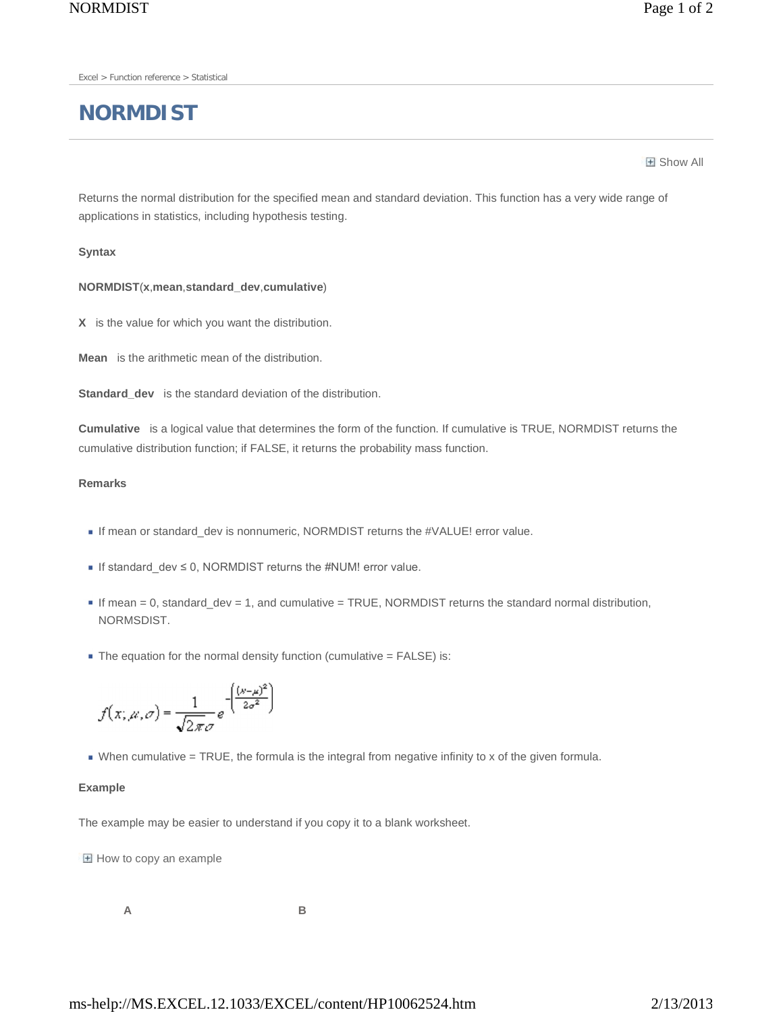Excel > Function reference > Statistical

# **NORMDIST**

**H** Show All

Returns the normal distribution for the specified mean and standard deviation. This function has a very wide range of applications in statistics, including hypothesis testing.

## **Syntax**

## **NORMDIST**(**x**,**mean**,**standard\_dev**,**cumulative**)

**X** is the value for which you want the distribution.

**Mean** is the arithmetic mean of the distribution.

**Standard\_dev** is the standard deviation of the distribution.

**Cumulative** is a logical value that determines the form of the function. If cumulative is TRUE, NORMDIST returns the cumulative distribution function; if FALSE, it returns the probability mass function.

#### **Remarks**

- If mean or standard\_dev is nonnumeric, NORMDIST returns the #VALUE! error value.
- If standard\_dev ≤ 0, NORMDIST returns the #NUM! error value.
- $I$  If mean = 0, standard\_dev = 1, and cumulative = TRUE, NORMDIST returns the standard normal distribution, NORMSDIST.
- $\blacksquare$  The equation for the normal density function (cumulative = FALSE) is:

$$
f(x; \mu, \sigma) = \frac{1}{\sqrt{2\pi}\sigma} e^{-\left(\frac{(x-\mu)^2}{2\sigma^2}\right)}
$$

When cumulative = TRUE, the formula is the integral from negative infinity to x of the given formula.

#### **Example**

The example may be easier to understand if you copy it to a blank worksheet.

 $H$  How to copy an example

**A B**

ms-help://MS.EXCEL.12.1033/EXCEL/content/HP10062524.htm 2/13/2013